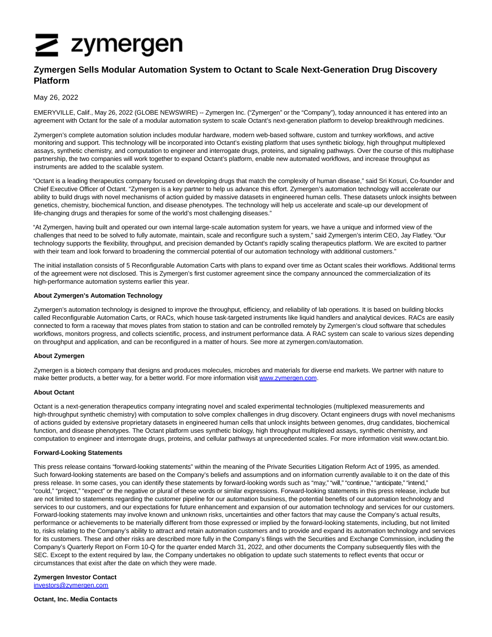# $\geq$  zymergen

# **Zymergen Sells Modular Automation System to Octant to Scale Next-Generation Drug Discovery Platform**

# May 26, 2022

EMERYVILLE, Calif., May 26, 2022 (GLOBE NEWSWIRE) -- Zymergen Inc. ("Zymergen" or the "Company"), today announced it has entered into an agreement with Octant for the sale of a modular automation system to scale Octant's next-generation platform to develop breakthrough medicines.

Zymergen's complete automation solution includes modular hardware, modern web-based software, custom and turnkey workflows, and active monitoring and support. This technology will be incorporated into Octant's existing platform that uses synthetic biology, high throughput multiplexed assays, synthetic chemistry, and computation to engineer and interrogate drugs, proteins, and signaling pathways. Over the course of this multiphase partnership, the two companies will work together to expand Octant's platform, enable new automated workflows, and increase throughput as instruments are added to the scalable system.

"Octant is a leading therapeutics company focused on developing drugs that match the complexity of human disease," said Sri Kosuri, Co-founder and Chief Executive Officer of Octant. "Zymergen is a key partner to help us advance this effort. Zymergen's automation technology will accelerate our ability to build drugs with novel mechanisms of action guided by massive datasets in engineered human cells. These datasets unlock insights between genetics, chemistry, biochemical function, and disease phenotypes. The technology will help us accelerate and scale-up our development of life-changing drugs and therapies for some of the world's most challenging diseases."

"At Zymergen, having built and operated our own internal large-scale automation system for years, we have a unique and informed view of the challenges that need to be solved to fully automate, maintain, scale and reconfigure such a system," said Zymergen's interim CEO, Jay Flatley. "Our technology supports the flexibility, throughput, and precision demanded by Octant's rapidly scaling therapeutics platform. We are excited to partner with their team and look forward to broadening the commercial potential of our automation technology with additional customers."

The initial installation consists of 5 Reconfigurable Automation Carts with plans to expand over time as Octant scales their workflows. Additional terms of the agreement were not disclosed. This is Zymergen's first customer agreement since the company announced the commercialization of its high-performance automation systems earlier this year.

## **About Zymergen's Automation Technology**

Zymergen's automation technology is designed to improve the throughput, efficiency, and reliability of lab operations. It is based on building blocks called Reconfigurable Automation Carts, or RACs, which house task-targeted instruments like liquid handlers and analytical devices. RACs are easily connected to form a raceway that moves plates from station to station and can be controlled remotely by Zymergen's cloud software that schedules workflows, monitors progress, and collects scientific, process, and instrument performance data. A RAC system can scale to various sizes depending on throughput and application, and can be reconfigured in a matter of hours. See more at zymergen.com/automation.

### **About Zymergen**

Zymergen is a biotech company that designs and produces molecules, microbes and materials for diverse end markets. We partner with nature to make better products, a better way, for a better world. For more information visit [www.zymergen.com.](https://www.globenewswire.com/Tracker?data=LQypaWsWJ_7xw4CuE63_M_Zdvr26FotY8GeRp0vMLV10CnZsxq6tmBhtG2SANlpSPy8heyxgBHiFjQGYIJyzDw==)

### **About Octant**

Octant is a next-generation therapeutics company integrating novel and scaled experimental technologies (multiplexed measurements and high-throughput synthetic chemistry) with computation to solve complex challenges in drug discovery. Octant engineers drugs with novel mechanisms of actions guided by extensive proprietary datasets in engineered human cells that unlock insights between genomes, drug candidates, biochemical function, and disease phenotypes. The Octant platform uses synthetic biology, high throughput multiplexed assays, synthetic chemistry, and computation to engineer and interrogate drugs, proteins, and cellular pathways at unprecedented scales. For more information visit www.octant.bio.

### **Forward-Looking Statements**

This press release contains "forward-looking statements" within the meaning of the Private Securities Litigation Reform Act of 1995, as amended. Such forward-looking statements are based on the Company's beliefs and assumptions and on information currently available to it on the date of this press release. In some cases, you can identify these statements by forward-looking words such as "may," "will," "continue," "anticipate," "intend," "could," "project," "expect" or the negative or plural of these words or similar expressions. Forward-looking statements in this press release, include but are not limited to statements regarding the customer pipeline for our automation business, the potential benefits of our automation technology and services to our customers, and our expectations for future enhancement and expansion of our automation technology and services for our customers. Forward-looking statements may involve known and unknown risks, uncertainties and other factors that may cause the Company's actual results, performance or achievements to be materially different from those expressed or implied by the forward-looking statements, including, but not limited to, risks relating to the Company's ability to attract and retain automation customers and to provide and expand its automation technology and services for its customers. These and other risks are described more fully in the Company's filings with the Securities and Exchange Commission, including the Company's Quarterly Report on Form 10-Q for the quarter ended March 31, 2022, and other documents the Company subsequently files with the SEC. Except to the extent required by law, the Company undertakes no obligation to update such statements to reflect events that occur or circumstances that exist after the date on which they were made.

**Zymergen Investor Contact** [investors@zymergen.com](https://www.globenewswire.com/Tracker?data=6LQdeIgiqXmnBRoagt3ZUy6UknNMjdTwYrXmyJelDAo8Mlh94P22ISJyY3kRpKFlQH1OisUKk9GshxrhJ5-PNnF4qBhLWfEwh0yDU1d5pzE=)

**Octant, Inc. Media Contacts**